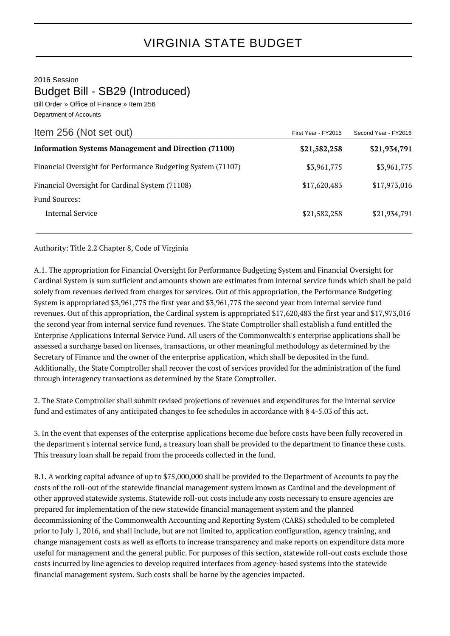2016 Session

Budget Bill - SB29 (Introduced)

Bill Order » Office of Finance » Item 256 Department of Accounts

| Item 256 (Not set out)                                       | First Year - FY2015 | Second Year - FY2016 |
|--------------------------------------------------------------|---------------------|----------------------|
| <b>Information Systems Management and Direction (71100)</b>  | \$21,582,258        | \$21,934,791         |
| Financial Oversight for Performance Budgeting System (71107) | \$3,961,775         | \$3,961,775          |
| Financial Oversight for Cardinal System (71108)              | \$17,620,483        | \$17,973,016         |
| Fund Sources:                                                |                     |                      |
| Internal Service                                             | \$21,582,258        | \$21,934,791         |

Authority: Title 2.2 Chapter 8, Code of Virginia

A.1. The appropriation for Financial Oversight for Performance Budgeting System and Financial Oversight for Cardinal System is sum sufficient and amounts shown are estimates from internal service funds which shall be paid solely from revenues derived from charges for services. Out of this appropriation, the Performance Budgeting System is appropriated \$3,961,775 the first year and \$3,961,775 the second year from internal service fund revenues. Out of this appropriation, the Cardinal system is appropriated \$17,620,483 the first year and \$17,973,016 the second year from internal service fund revenues. The State Comptroller shall establish a fund entitled the Enterprise Applications Internal Service Fund. All users of the Commonwealth's enterprise applications shall be assessed a surcharge based on licenses, transactions, or other meaningful methodology as determined by the Secretary of Finance and the owner of the enterprise application, which shall be deposited in the fund. Additionally, the State Comptroller shall recover the cost of services provided for the administration of the fund through interagency transactions as determined by the State Comptroller.

2. The State Comptroller shall submit revised projections of revenues and expenditures for the internal service fund and estimates of any anticipated changes to fee schedules in accordance with § 4-5.03 of this act.

3. In the event that expenses of the enterprise applications become due before costs have been fully recovered in the department's internal service fund, a treasury loan shall be provided to the department to finance these costs. This treasury loan shall be repaid from the proceeds collected in the fund.

B.1. A working capital advance of up to \$75,000,000 shall be provided to the Department of Accounts to pay the costs of the roll-out of the statewide financial management system known as Cardinal and the development of other approved statewide systems. Statewide roll-out costs include any costs necessary to ensure agencies are prepared for implementation of the new statewide financial management system and the planned decommissioning of the Commonwealth Accounting and Reporting System (CARS) scheduled to be completed prior to July 1, 2016, and shall include, but are not limited to, application configuration, agency training, and change management costs as well as efforts to increase transparency and make reports on expenditure data more useful for management and the general public. For purposes of this section, statewide roll-out costs exclude those costs incurred by line agencies to develop required interfaces from agency-based systems into the statewide financial management system. Such costs shall be borne by the agencies impacted.